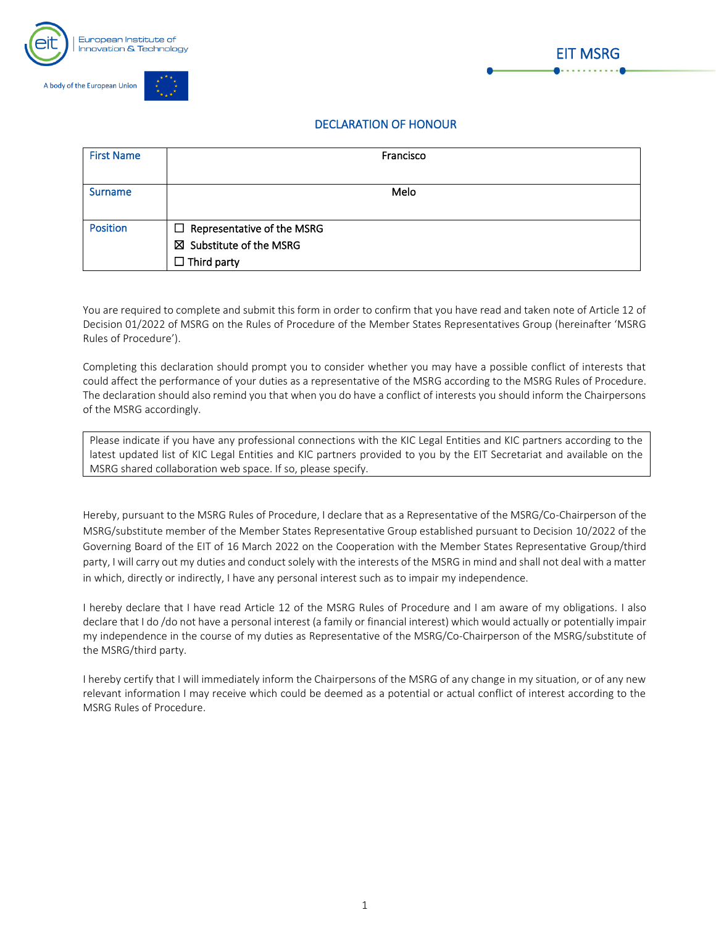



## DECLARATION OF HONOUR

| <b>First Name</b> | Francisco                                                                                     |
|-------------------|-----------------------------------------------------------------------------------------------|
| <b>Surname</b>    | Melo                                                                                          |
| <b>Position</b>   | $\Box$ Representative of the MSRG<br>$\boxtimes$ Substitute of the MSRG<br>$\Box$ Third party |

You are required to complete and submit this form in order to confirm that you have read and taken note of Article 12 of Decision 01/2022 of MSRG on the Rules of Procedure of the Member States Representatives Group (hereinafter 'MSRG Rules of Procedure').

Completing this declaration should prompt you to consider whether you may have a possible conflict of interests that could affect the performance of your duties as a representative of the MSRG according to the MSRG Rules of Procedure. The declaration should also remind you that when you do have a conflict of interests you should inform the Chairpersons of the MSRG accordingly.

Please indicate if you have any professional connections with the KIC Legal Entities and KIC partners according to the latest updated list of KIC Legal Entities and KIC partners provided to you by the EIT Secretariat and available on the MSRG shared collaboration web space. If so, please specify.

Hereby, pursuant to the MSRG Rules of Procedure, I declare that as a Representative of the MSRG/Co-Chairperson of the MSRG/substitute member of the Member States Representative Group established pursuant to Decision 10/2022 of the Governing Board of the EIT of 16 March 2022 on the Cooperation with the Member States Representative Group/third party, I will carry out my duties and conduct solely with the interests of the MSRG in mind and shall not deal with a matter in which, directly or indirectly, I have any personal interest such as to impair my independence.

I hereby declare that I have read Article 12 of the MSRG Rules of Procedure and I am aware of my obligations. I also declare that I do /do not have a personal interest (a family or financial interest) which would actually or potentially impair my independence in the course of my duties as Representative of the MSRG/Co-Chairperson of the MSRG/substitute of the MSRG/third party.

I hereby certify that I will immediately inform the Chairpersons of the MSRG of any change in my situation, or of any new relevant information I may receive which could be deemed as a potential or actual conflict of interest according to the MSRG Rules of Procedure.